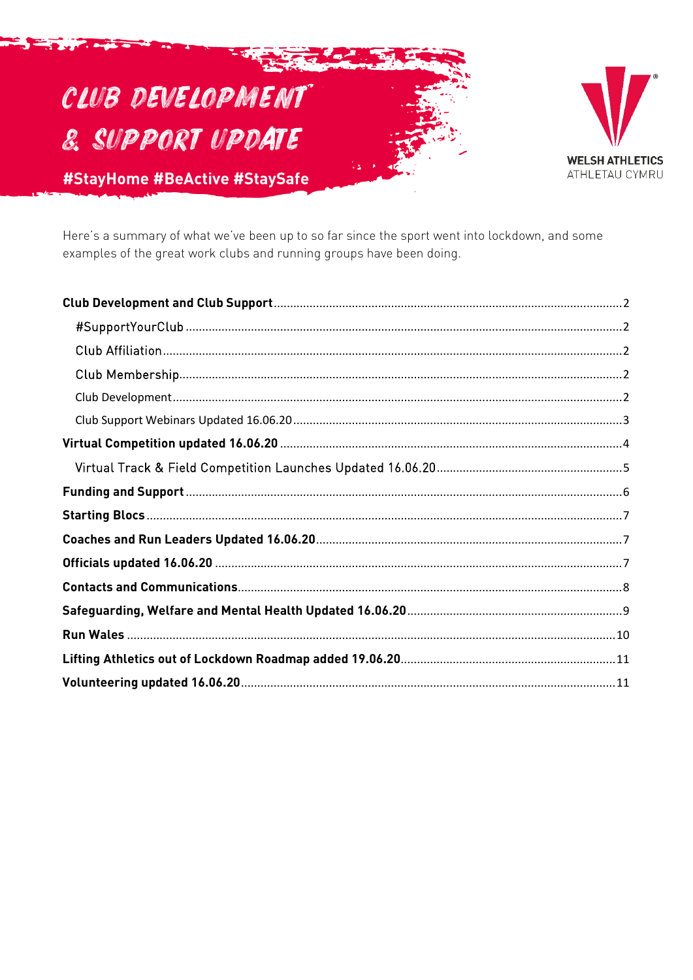# CLUB DEVELOPMENT **& SUPPORT UPDATE**



#StayHome #BeActive #StaySafe

Here's a summary of what we've been up to so far since the sport went into lockdown, and some examples of the great work clubs and running groups have been doing.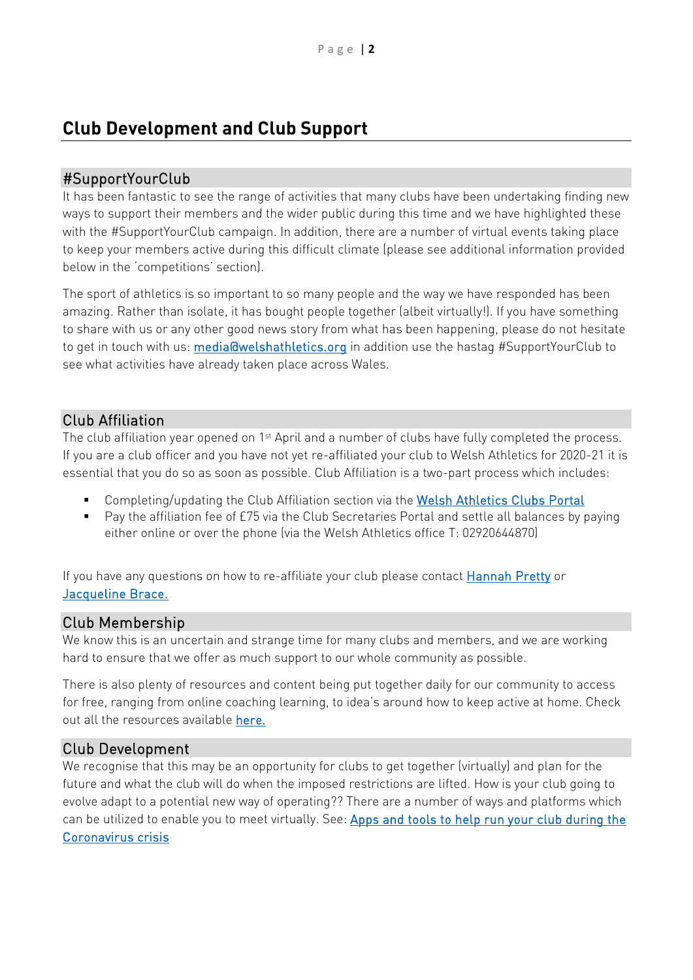## <span id="page-1-0"></span>**Club Development and Club Support**

## <span id="page-1-1"></span>#SupportYourClub

It has been fantastic to see the range of activities that many clubs have been undertaking finding new ways to support their members and the wider public during this time and we have highlighted these with the #SupportYourClub campaign. In addition, there are a number of virtual events taking place to keep your members active during this difficult climate (please see additional information provided below in the 'competitions' section).

The sport of athletics is so important to so many people and the way we have responded has been amazing. Rather than isolate, it has bought people together (albeit virtually!). If you have something to share with us or any other good news story from what has been happening, please do not hesitate to get in touch with us: **media@welshathletics.org** in addition use the hastag #SupportYourClub to see what activities have already taken place across Wales.

## <span id="page-1-2"></span>Club Affiliation

The club affiliation year opened on 1<sup>st</sup> April and a number of clubs have fully completed the process. If you are a club officer and you have not yet re-affiliated your club to Welsh Athletics for 2020-21 it is essential that you do so as soon as possible. Club Affiliation is a two-part process which includes:

- **Completing/updating the Club Affiliation section via the [Welsh Athletics Clubs Portal](https://welshathletics.clubserve.net/)**
- Pay the affiliation fee of £75 via the Club Secretaries Portal and settle all balances by paying either online or over the phone (via the Welsh Athletics office T: 02920644870)

If you have any questions on how to re-affiliate your club please contact [Hannah Pretty](mailto:hannah.pretty@welshathletics.org) or [Jacqueline Brace.](mailto:%20jacqueline.brace@welshathletics.org)

## <span id="page-1-3"></span>Club Membership

We know this is an uncertain and strange time for many clubs and members, and we are working hard to ensure that we offer as much support to our whole community as possible.

There is also plenty of resources and content being put together daily for our community to access for free, ranging from online coaching learning, to idea's around how to keep active at home. Check out all the resources available [here.](https://www.welshathletics.org/en/page/stay-home-stay-involved)

## <span id="page-1-4"></span>Club Development

We recognise that this may be an opportunity for clubs to get together (virtually) and plan for the future and what the club will do when the imposed restrictions are lifted. How is your club going to evolve adapt to a potential new way of operating?? There are a number of ways and platforms which can be utilized to enable you to meet virtually. See: Apps and tools to help run your club during the [Coronavirus crisis](http://www.clubsolutions.wales/case-studies/apps-and-tools-to-help-run-your-club-during-the-coronavirus-crisis/)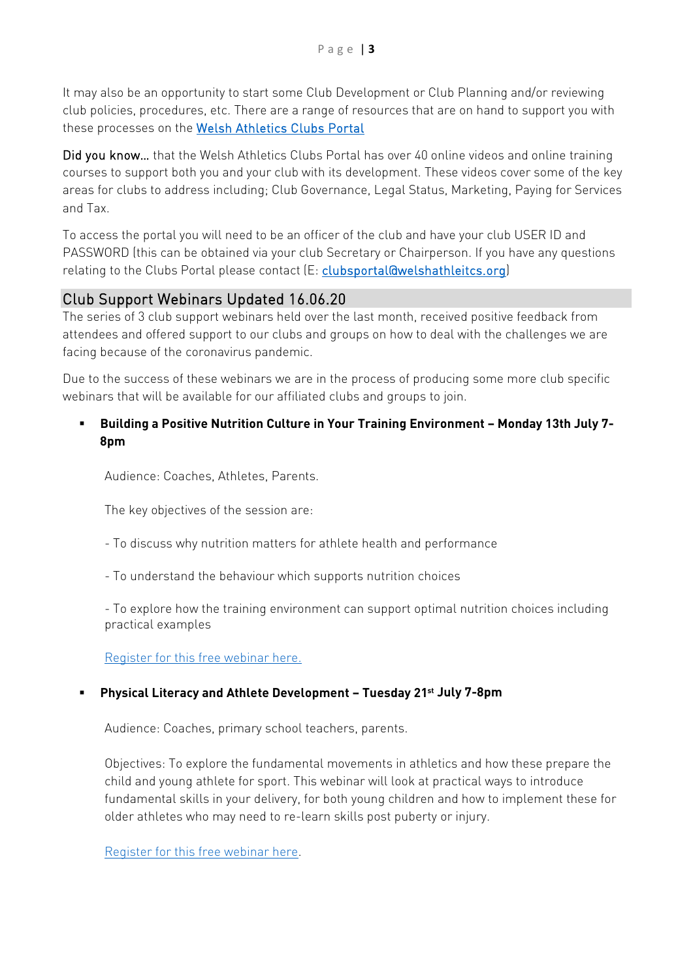It may also be an opportunity to start some Club Development or Club Planning and/or reviewing club policies, procedures, etc. There are a range of resources that are on hand to support you with these processes on the Welsh Athletics Clubs Portal

Did you know... that the Welsh Athletics Clubs Portal has over 40 online videos and online training courses to support both you and your club with its development. These videos cover some of the key areas for clubs to address including; Club Governance, Legal Status, Marketing, Paying for Services and Tax.

To access the portal you will need to be an officer of the club and have your club USER ID and PASSWORD (this can be obtained via your club Secretary or Chairperson. If you have any questions relating to the Clubs Portal please contact (E: [clubsportal@welshathleitcs.org\)](mailto:clubsportal@welshathleitcs.org)

## <span id="page-2-0"></span>Club Support Webinars Updated 16.06.20

The series of 3 club support webinars held over the last month, received positive feedback from attendees and offered support to our clubs and groups on how to deal with the challenges we are facing because of the coronavirus pandemic.

Due to the success of these webinars we are in the process of producing some more club specific webinars that will be available for our affiliated clubs and groups to join.

## **Building a Positive Nutrition Culture in Your Training Environment – Monday 13th July 7- 8pm**

Audience: Coaches, Athletes, Parents.

The key objectives of the session are:

- To discuss why nutrition matters for athlete health and performance
- To understand the behaviour which supports nutrition choices

- To explore how the training environment can support optimal nutrition choices including practical examples

[Register for this free webinar here.](https://www.welshathletics.org/en/event/building-a-positive-nutrition-culture-in-your-training-environment)

#### **Physical Literacy and Athlete Development – Tuesday 21st July 7-8pm**

Audience: Coaches, primary school teachers, parents.

Objectives: To explore the fundamental movements in athletics and how these prepare the child and young athlete for sport. This webinar will look at practical ways to introduce fundamental skills in your delivery, for both young children and how to implement these for older athletes who may need to re-learn skills post puberty or injury.

[Register for this free webinar here.](https://attendee.gotowebinar.com/register/6676890320483925261)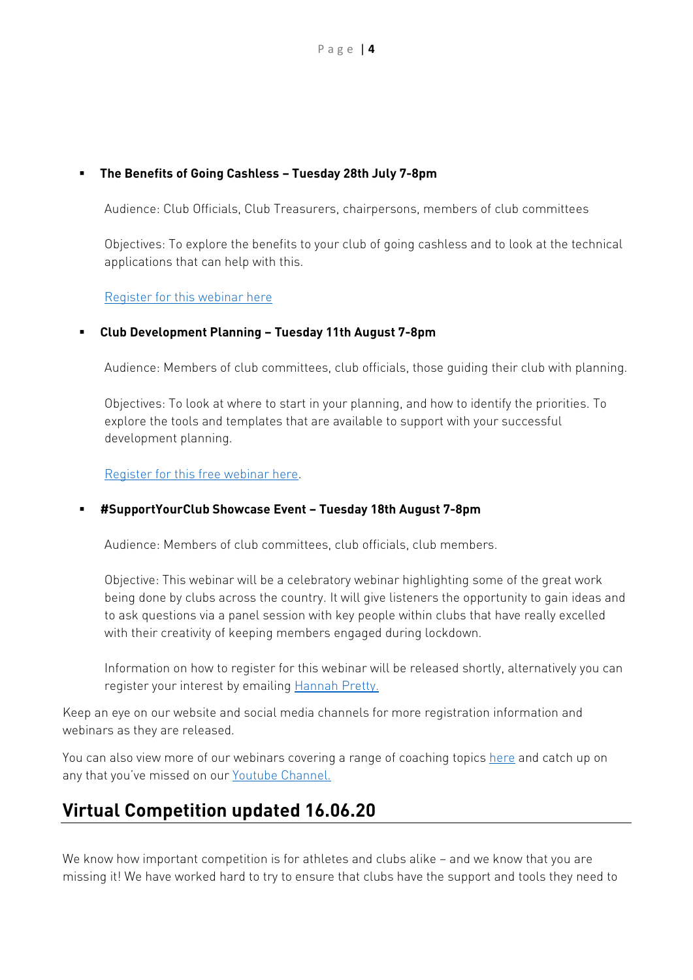#### **The Benefits of Going Cashless – Tuesday 28th July 7-8pm**

Audience: Club Officials, Club Treasurers, chairpersons, members of club committees

Objectives: To explore the benefits to your club of going cashless and to look at the technical applications that can help with this.

[Register for this webinar](https://attendee.gotowebinar.com/register/5697508034890418446) here

#### **Club Development Planning – Tuesday 11th August 7-8pm**

Audience: Members of club committees, club officials, those guiding their club with planning.

Objectives: To look at where to start in your planning, and how to identify the priorities. To explore the tools and templates that are available to support with your successful development planning.

[Register for this free webinar here.](https://attendee.gotowebinar.com/register/1271909961395218703)

#### **#SupportYourClub Showcase Event – Tuesday 18th August 7-8pm**

Audience: Members of club committees, club officials, club members.

Objective: This webinar will be a celebratory webinar highlighting some of the great work being done by clubs across the country. It will give listeners the opportunity to gain ideas and to ask questions via a panel session with key people within clubs that have really excelled with their creativity of keeping members engaged during lockdown.

Information on how to register for this webinar will be released shortly, alternatively you can register your interest by emailing [Hannah Pretty.](mailto:hannah.pretty@wekshathletics.org?subject=Register%20interest%20in%20%23SupportYourClub%20showcase%20event)

Keep an eye on our website and social media channels for more registration information and webinars as they are released.

You can also view more of our webinars covering a range of coaching topics [here](https://www.welshathletics.org/en/events/stay-home-stay-involved1) and catch up on any that you've missed on ou[r Youtube Channel.](https://www.youtube.com/channel/UCs_zJWJFegVHKygEgb2gt4A/videos?view=0&sort=dd&shelf_id=1)

## <span id="page-3-0"></span>**Virtual Competition updated 16.06.20**

We know how important competition is for athletes and clubs alike – and we know that you are missing it! We have worked hard to try to ensure that clubs have the support and tools they need to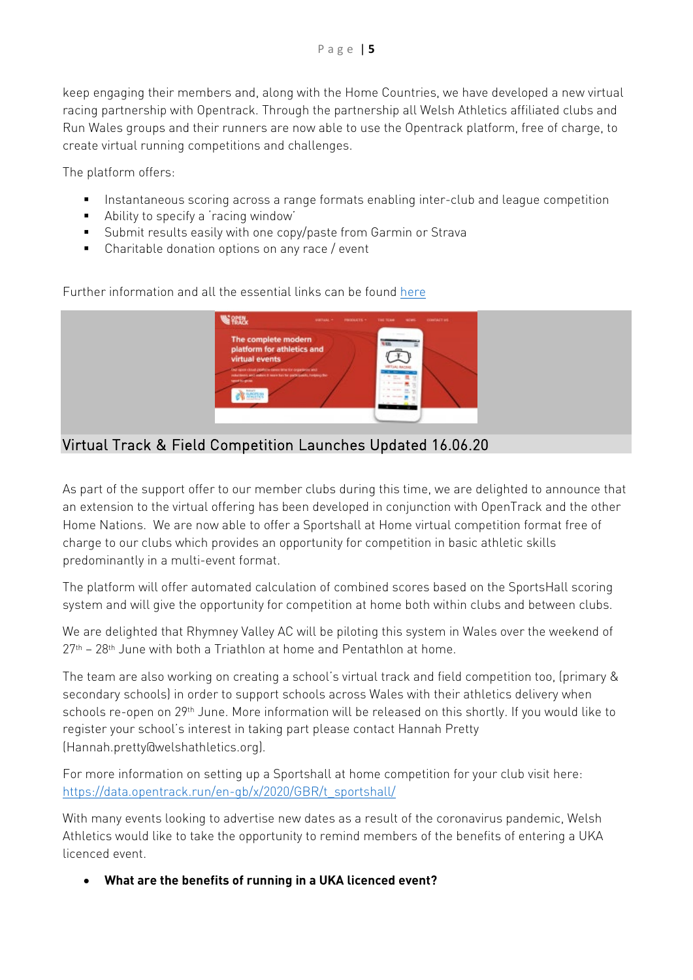keep engaging their members and, along with the Home Countries, we have developed a new virtual racing partnership with Opentrack. Through the partnership all Welsh Athletics affiliated clubs and Run Wales groups and their runners are now able to use the Opentrack platform, free of charge, to create virtual running competitions and challenges.

The platform offers:

- **Instantaneous scoring across a range formats enabling inter-club and league competition**
- **Ability to specify a 'racing window'**
- Submit results easily with one copy/paste from Garmin or Strava
- **EXECO EXECO Charitable donation options on any race / event**

**WEREN** The complete mo platform for athletics a virtual events  $\partial X$ 

Further information and all the essential links can be foun[d here](https://www.welshathletics.org/en/blog/post/new-virtual-racing-platform-launched-in-partnership-with-opentrack)

<span id="page-4-0"></span>Virtual Track & Field Competition Launches Updated 16.06.20

As part of the support offer to our member clubs during this time, we are delighted to announce that an extension to the virtual offering has been developed in conjunction with OpenTrack and the other Home Nations. We are now able to offer a Sportshall at Home virtual competition format free of charge to our clubs which provides an opportunity for competition in basic athletic skills predominantly in a multi-event format.

The platform will offer automated calculation of combined scores based on the SportsHall scoring system and will give the opportunity for competition at home both within clubs and between clubs.

We are delighted that Rhymney Valley AC will be piloting this system in Wales over the weekend of  $27<sup>th</sup>$  –  $28<sup>th</sup>$  June with both a Triathlon at home and Pentathlon at home.

The team are also working on creating a school's virtual track and field competition too, (primary & secondary schools) in order to support schools across Wales with their athletics delivery when schools re-open on 29th June. More information will be released on this shortly. If you would like to register your school's interest in taking part please contact Hannah Pretty (Hannah.pretty@welshathletics.org).

For more information on setting up a Sportshall at home competition for your club visit here: [https://data.opentrack.run/en-gb/x/2020/GBR/t\\_sportshall/](https://data.opentrack.run/en-gb/x/2020/GBR/t_sportshall/)

With many events looking to advertise new dates as a result of the coronavirus pandemic, Welsh Athletics would like to take the opportunity to remind members of the benefits of entering a UKA licenced event.

• **What are the benefits of running in a UKA licenced event?**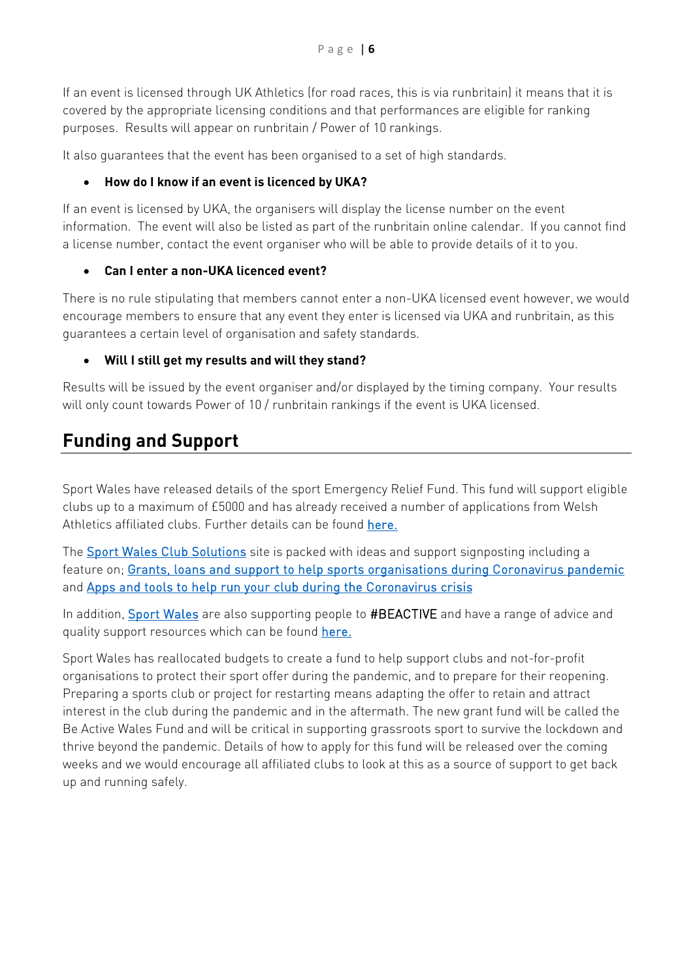If an event is licensed through UK Athletics (for road races, this is via runbritain) it means that it is covered by the appropriate licensing conditions and that performances are eligible for ranking purposes. Results will appear on runbritain / Power of 10 rankings.

It also guarantees that the event has been organised to a set of high standards.

## • **How do I know if an event is licenced by UKA?**

If an event is licensed by UKA, the organisers will display the license number on the event information. The event will also be listed as part of the runbritain online calendar. If you cannot find a license number, contact the event organiser who will be able to provide details of it to you.

#### • **Can I enter a non-UKA licenced event?**

There is no rule stipulating that members cannot enter a non-UKA licensed event however, we would encourage members to ensure that any event they enter is licensed via UKA and runbritain, as this guarantees a certain level of organisation and safety standards.

## • **Will I still get my results and will they stand?**

Results will be issued by the event organiser and/or displayed by the timing company. Your results will only count towards Power of 10 / runbritain rankings if the event is UKA licensed.

# <span id="page-5-0"></span>**Funding and Support**

Sport Wales have released details of the sport Emergency Relief Fund. This fund will support eligible clubs up to a maximum of £5000 and has already received a number of applications from Welsh Athletics affiliated clubs. Further details can be found [here.](https://www.sport.wales/content-vault/emergency-relief-fund/)

The [Sport Wales Club Solutions](http://www.clubsolutions.wales/) site is packed with ideas and support signposting including a feature on; [Grants, loans and support to help sports organisations during Coronavirus pandemic](http://www.clubsolutions.wales/case-studies/grants-loans-and-support-to-help-sports-organisations-during-coronavirus-pandemic/)  and [Apps and tools to help run your club during the Coronavirus crisis](http://www.clubsolutions.wales/case-studies/apps-and-tools-to-help-run-your-club-during-the-coronavirus-crisis/) 

In addition, [Sport Wales](https://www.sport.wales/) are also supporting people to #BEACTIVE and have a range of advice and quality support resources which can be found [here.](https://www.sport.wales/beactivewales/)

Sport Wales has reallocated budgets to create a fund to help support clubs and not-for-profit organisations to protect their sport offer during the pandemic, and to prepare for their reopening. Preparing a sports club or project for restarting means adapting the offer to retain and attract interest in the club during the pandemic and in the aftermath. The new grant fund will be called the Be Active Wales Fund and will be critical in supporting grassroots sport to survive the lockdown and thrive beyond the pandemic. Details of how to apply for this fund will be released over the coming weeks and we would encourage all affiliated clubs to look at this as a source of support to get back up and running safely.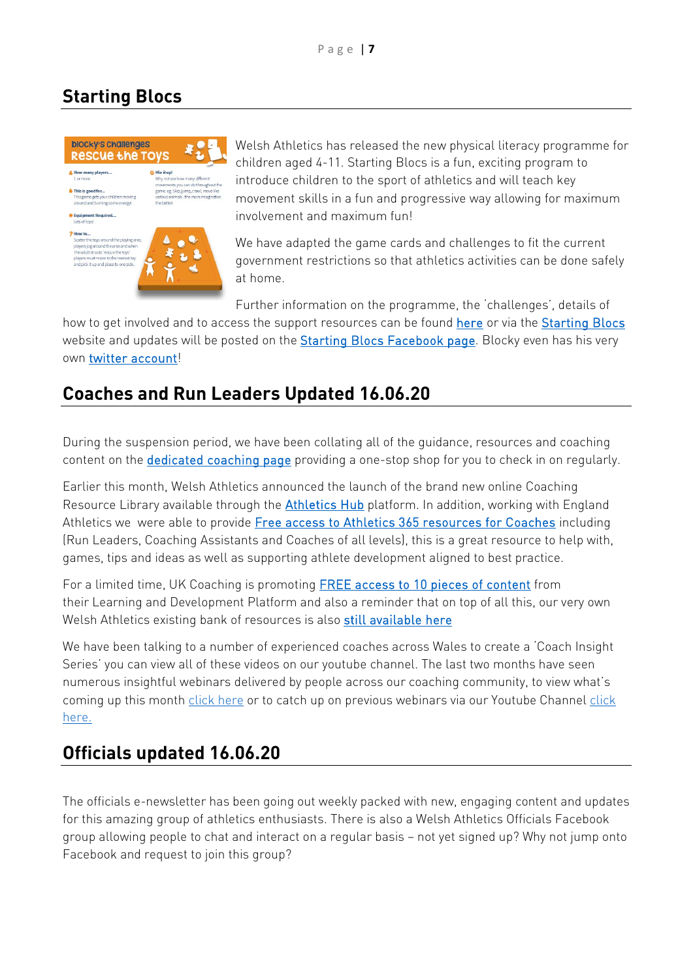## <span id="page-6-0"></span>**Starting Blocs**



Welsh Athletics has released the new physical literacy programme for children aged 4-11. Starting Blocs is a fun, exciting program to introduce children to the sport of athletics and will teach key movement skills in a fun and progressive way allowing for maximum involvement and maximum fun!

We have adapted the game cards and challenges to fit the current government restrictions so that athletics activities can be done safely at home.

Further information on the programme, the 'challenges', details of

how to get involved and to access the support resources can be found [here](https://www.welshathletics.org/en/blog/post/meet-blocky-get-your-u11s-running-jumping-throwing) or via the [Starting Blocs](https://www.startingblocs.co.uk/) website and updates will be posted on the [Starting Blocs Facebook page.](https://www.facebook.com/StartingBlocs/) Blocky even has his very own [twitter account!](https://twitter.com/Starting_Blocs)

# <span id="page-6-1"></span>**Coaches and Run Leaders Updated 16.06.20**

During the suspension period, we have been collating all of the guidance, resources and coaching content on the [dedicated coaching page](https://www.welshathletics.org/en/page/keep-coaching) providing a one-stop shop for you to check in on regularly.

Earlier this month, Welsh Athletics announced the launch of the brand new online Coaching Resource Library available through the [Athletics Hub](https://www.athleticshub.co.uk/public/) platform. In addition, working with England Athletics we were able to provide [Free access to Athletics 365 resources for Coaches](https://www.welshathletics.org/en/blog/post/free-access-to-athletics-365-resources-for-coaches) including (Run Leaders, Coaching Assistants and Coaches of all levels), this is a great resource to help with, games, tips and ideas as well as supporting athlete development aligned to best practice.

For a limited time, UK Coaching is promoting [FREE access to 10 pieces of content](https://www.ukcoaching.org/resources/topics/search?query=Freely%20available%20until%203rd%20May%20and%20then%20exclusive%20to%20UK%20Coaching%20Subscribers%20&taxonomy=0&order=relevant) from their Learning and Development Platform and also a reminder that on top of all this, our very own Welsh Athletics existing bank of resources is also [still available here](https://www.welshathletics.org/en/page/coaching-resources)

We have been talking to a number of experienced coaches across Wales to create a 'Coach Insight Series' you can view all of these videos on our youtube channel. The last two months have seen numerous insightful webinars delivered by people across our coaching community, to view what's coming up this month [click here](https://www.welshathletics.org/en/events/stay-home-stay-involved1) or to catch up on previous webinars via our Youtube Channel click [here.](https://www.youtube.com/channel/UCs_zJWJFegVHKygEgb2gt4A/videos?view=0&sort=dd&shelf_id=1)

## <span id="page-6-2"></span>**Officials updated 16.06.20**

The officials e-newsletter has been going out weekly packed with new, engaging content and updates for this amazing group of athletics enthusiasts. There is also a Welsh Athletics Officials Facebook group allowing people to chat and interact on a regular basis – not yet signed up? Why not jump onto Facebook and request to join this group?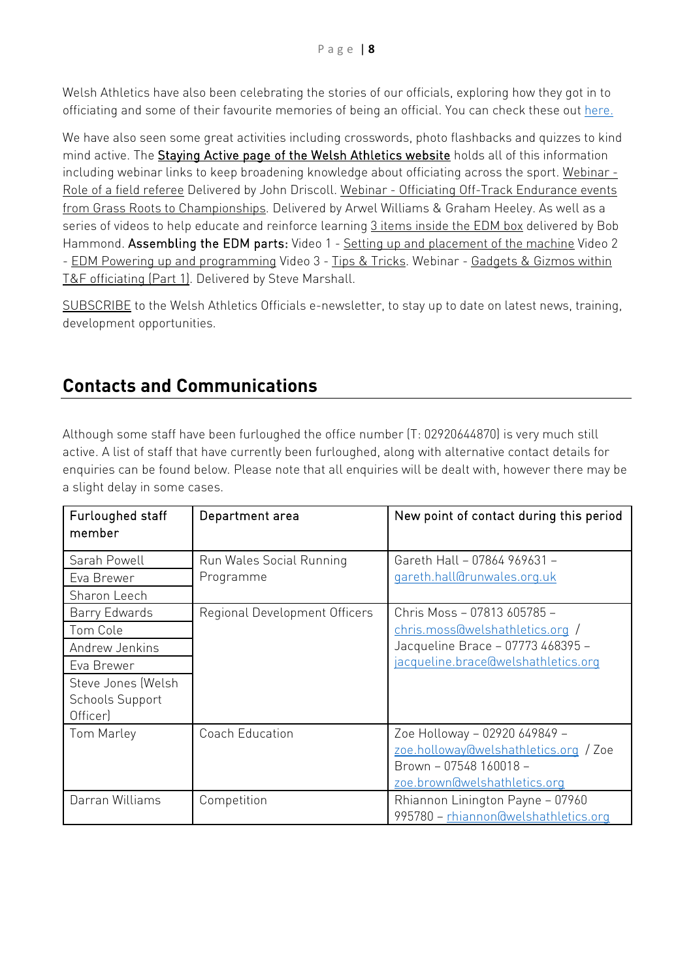Welsh Athletics have also been celebrating the stories of our officials, exploring how they got in to officiating and some of their favourite memories of being an official. You can check these out [here.](https://www.welshathletics.org/en/page/officiating-journeys)

We have also seen some great activities including crosswords, photo flashbacks and quizzes to kind mind active. The **Staying Active page of the Welsh Athletics website** holds all of this information including webinar links to keep broadening knowledge about officiating across the sport. [Webinar](https://www.youtube.com/watch?v=5PPsap-rYEw&feature=youtu.be) - Role of a field [referee](https://www.youtube.com/watch?v=5PPsap-rYEw&feature=youtu.be) Delivered by John Driscoll. Webinar - Officiating Off-Track [Endurance](https://www.youtube.com/watch?v=V_PtCVq4WUA&feature=youtu.be) events from Grass Roots to [Championships.](https://www.youtube.com/watch?v=V_PtCVq4WUA&feature=youtu.be) Delivered by Arwel Williams & Graham Heeley. As well as a series of videos to help educate and reinforce learning 3 items [inside](https://www.youtube.com/watch?v=WeopPJk8nQ0&feature=youtu.be) the EDM box delivered by Bob Hammond. Assembling the EDM parts: Video 1 - Setting up and [placement](https://www.youtube.com/watch?v=ukaQVc2dCig&feature=youtu.be) of the machine Video 2 - EDM Powering up and [programming](https://www.youtube.com/watch?v=gmfcTEc5e8U&feature=youtu.be) Video 3 - Tips & [Tricks.](https://www.youtube.com/watch?v=xIF7cKJ9jYg&feature=youtu.be) Webinar - [Gadgets](https://www.youtube.com/watch?v=MNhpZAsjNsA) & Gizmos within T&F [officiating](https://www.youtube.com/watch?v=MNhpZAsjNsA) (Part 1). Delivered by Steve Marshall.

[SUBSCRIBE](https://confirmsubscription.com/h/j/18E9B7BF83B6618D) to the Welsh Athletics Officials e-newsletter, to stay up to date on latest news, training, development opportunities.

# <span id="page-7-0"></span>**Contacts and Communications**

Although some staff have been furloughed the office number (T: 02920644870) is very much still active. A list of staff that have currently been furloughed, along with alternative contact details for enquiries can be found below. Please note that all enquiries will be dealt with, however there may be a slight delay in some cases.

| Furloughed staff<br>member                   | Department area               | New point of contact during this period |
|----------------------------------------------|-------------------------------|-----------------------------------------|
| Sarah Powell                                 | Run Wales Social Running      | Gareth Hall - 07864 969631 -            |
| Eva Brewer                                   | Programme                     | gareth.hall@runwales.org.uk             |
| Sharon Leech                                 |                               |                                         |
| Barry Edwards                                | Regional Development Officers | Chris Moss - 07813 605785 -             |
| Tom Cole                                     |                               | chris.moss@welshathletics.org /         |
| Andrew Jenkins                               |                               | Jacqueline Brace - 07773 468395 -       |
| Eva Brewer                                   |                               | jacqueline.brace@welshathletics.org     |
| Steve Jones (Welsh<br><b>Schools Support</b> |                               |                                         |
| Officer)                                     |                               |                                         |
| Tom Marley                                   | Coach Education               | Zoe Holloway - 02920 649849 -           |
|                                              |                               | zoe.holloway@welshathletics.org / Zoe   |
|                                              |                               | Brown - 07548 160018 -                  |
|                                              |                               | zoe.brown@welshathletics.org            |
| Darran Williams                              | Competition                   | Rhiannon Linington Payne - 07960        |
|                                              |                               | 995780 - rhiannon@welshathletics.org    |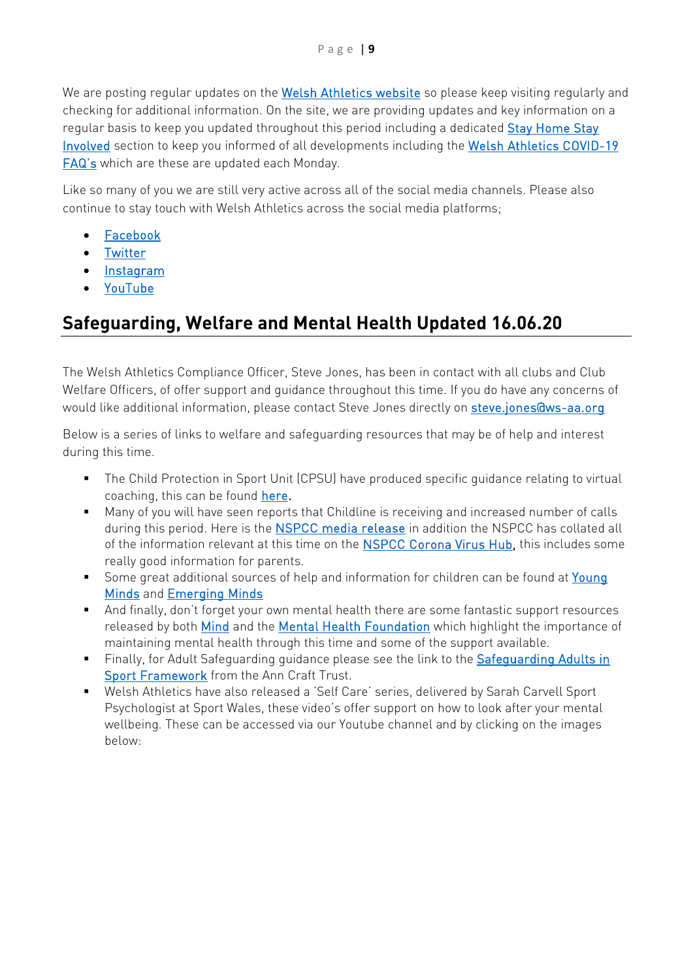We are posting regular updates on the [Welsh Athletics website](https://www.welshathletics.org/) so please keep visiting regularly and checking for additional information. On the site, we are providing updates and key information on a regular basis to keep you updated throughout this period including a dedicated Stay Home Stay [Involved](https://www.welshathletics.org/en/page/stay-home-stay-involved) section to keep you informed of all developments including the [Welsh Athletics COVID-19](https://www.welshathletics.org/image/Documents/COVID-19/FAQs%20V1%20010420.pdf)  [FAQ's](https://www.welshathletics.org/image/Documents/COVID-19/FAQs%20V1%20010420.pdf) which are these are updated each Monday.

Like so many of you we are still very active across all of the social media channels. Please also continue to stay touch with Welsh Athletics across the social media platforms;

- [Facebook](https://www.facebook.com/WelshAthletics/)
- [Twitter](https://twitter.com/WelshAthletics)
- [Instagram](https://www.instagram.com/welshathletics/)
- [YouTube](https://www.youtube.com/channel/UCs_zJWJFegVHKygEgb2gt4A?view_as=subscriber)

# <span id="page-8-0"></span>**Safeguarding, Welfare and Mental Health Updated 16.06.20**

The Welsh Athletics Compliance Officer, Steve Jones, has been in contact with all clubs and Club Welfare Officers, of offer support and guidance throughout this time. If you do have any concerns of would like additional information, please contact Steve Jones directly on [steve.jones@ws-aa.org](mailto:steve.jones@ws-aa.org)

Below is a series of links to welfare and safeguarding resources that may be of help and interest during this time.

- The Child Protection in Sport Unit (CPSU) have produced specific guidance relating to virtual coaching, this can be found [here.](https://thecpsu.org.uk/resource-library/best-practice/remote-teaching-and-coaching/)
- Many of you will have seen reports that Childline is receiving and increased number of calls during this period. Here is the [NSPCC media release](https://www.nspcc.org.uk/what-we-do/news-opinion/childline-coronavirus-counselling/) in addition the NSPCC has collated all of the information relevant at this time on the **NSPCC Corona Virus Hub**, this includes some really good information for parents.
- Some great additional sources of help and information for children can be found at Young [Minds](https://youngminds.org.uk/blog/what-to-do-if-you-re-anxious-about-coronavirus/) and [Emerging Minds](https://emergingminds.org.uk/recommended-resources-supporting-children-and-young-people-with-worries-and-anxiety-links/)
- And finally, don't forget your own mental health there are some fantastic support resources released by both [Mind](https://www.mind.org.uk/coronavirus-we-are-here-for-you/) and the [Mental Health Foundation](https://www.mentalhealth.org.uk/publications/looking-after-your-mental-health-during-coronavirus-outbreak) which highlight the importance of maintaining mental health through this time and some of the support available.
- Finally, for Adult Safeguarding guidance please see the link to the Safeguarding Adults in [Sport Framework](https://www.anncrafttrust.org/safeguarding-adults-sport-activity/the-safeguarding-adults-in-sport-framework/) from the Ann Craft Trust.
- Welsh Athletics have also released a 'Self Care' series, delivered by Sarah Carvell Sport Psychologist at Sport Wales, these video's offer support on how to look after your mental wellbeing. These can be accessed via our Youtube channel and by clicking on the images below: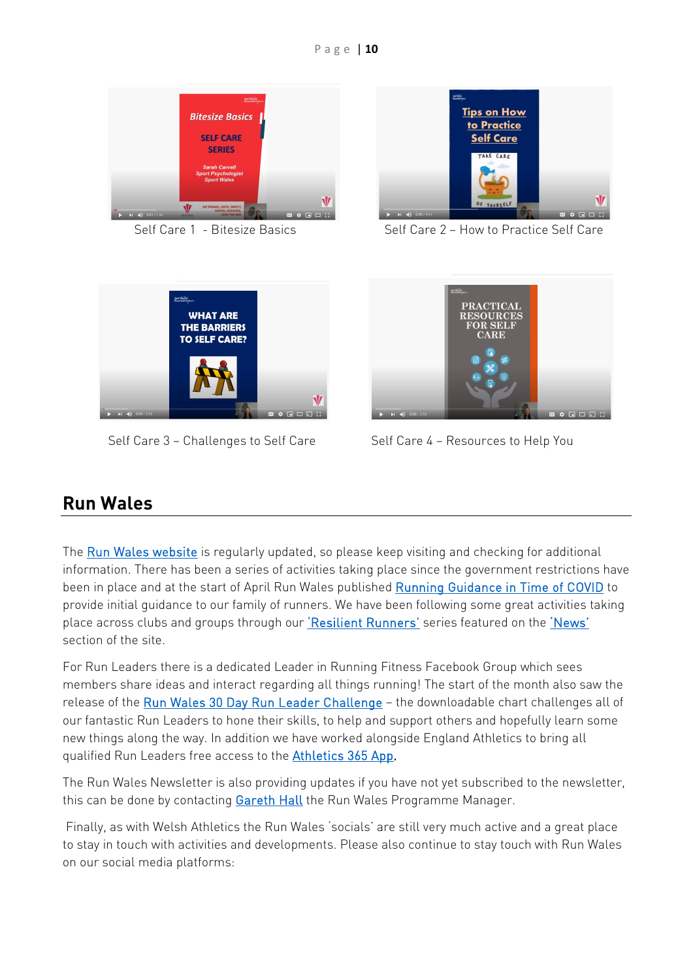



Self Care 1 - Bitesize Basics Self Care 2 – How to Practice Self Care



Self Care 3 – Challenges to Self Care Self Care 4 – Resources to Help You



## <span id="page-9-0"></span>**Run Wales**

The [Run Wales website](https://irun.wales/) is regularly updated, so please keep visiting and checking for additional information. There has been a series of activities taking place since the government restrictions have been in place and at the start of April Run Wales published [Running Guidance in Time of COVID](https://irun.wales/news/running-guidance-in-times-of-covid/) to provide initial guidance to our family of runners. We have been following some great activities taking place across clubs and groups through our ['Resilient Runners'](https://irun.wales/news/resilient-runners-the-dolly-mixtures/) series featured on the ['News'](https://irun.wales/news/) section of the site.

For Run Leaders there is a dedicated Leader in Running Fitness Facebook Group which sees members share ideas and interact regarding all things running! The start of the month also saw the release of the [Run Wales 30 Day Run Leader Challenge](https://irun.wales/news/30-day-run-leader-challenge/) - the downloadable chart challenges all of our fantastic Run Leaders to hone their skills, to help and support others and hopefully learn some new things along the way. In addition we have worked alongside England Athletics to bring all qualified Run Leaders free access to the **Athletics 365 App.** 

The Run Wales Newsletter is also providing updates if you have not yet subscribed to the newsletter, this can be done by contacting [Gareth Hall](mailto:gareth.hall@runwales.org.uk) the Run Wales Programme Manager.

Finally, as with Welsh Athletics the Run Wales 'socials' are still very much active and a great place to stay in touch with activities and developments. Please also continue to stay touch with Run Wales on our social media platforms: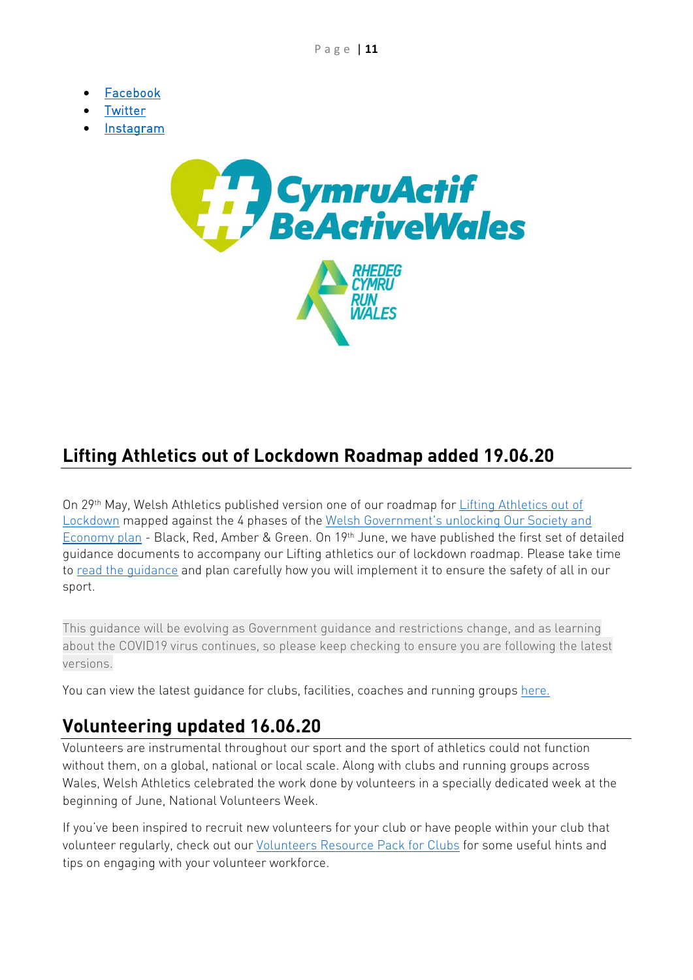- [Facebook](https://www.facebook.com/IRunWales)
- [Twitter](https://twitter.com/RunWales)
- [Instagram](https://www.instagram.com/runwales/)



# <span id="page-10-0"></span>**Lifting Athletics out of Lockdown Roadmap added 19.06.20**

On 29th May, Welsh Athletics published version one of our roadmap for [Lifting Athletics out of](https://www.welshathletics.org/image/Documents/COVID-19/Lifting%20Athletics%20out%20of%20Lockdown%20Docs/Return%20to%20Athletics%20V1.pdf)  [Lockdown](https://www.welshathletics.org/image/Documents/COVID-19/Lifting%20Athletics%20out%20of%20Lockdown%20Docs/Return%20to%20Athletics%20V1.pdf) mapped against the 4 phases of the [Welsh Government's unlocking Our Society and](https://gov.wales/unlocking-our-society-and-economy-continuing-conversation)  [Economy plan](https://gov.wales/unlocking-our-society-and-economy-continuing-conversation) - Black, Red, Amber & Green. On 19<sup>th</sup> June, we have published the first set of detailed guidance documents to accompany our Lifting athletics our of lockdown roadmap. Please take time to [read the guidance](https://www.welshathletics.org/en/blog/post/return-to-athletics-guidance-release) and plan carefully how you will implement it to ensure the safety of all in our sport.

This guidance will be evolving as Government guidance and restrictions change, and as learning about the COVID19 virus continues, so please keep checking to ensure you are following the latest versions.

You can view the latest quidance for clubs, facilities, coaches and running groups [here.](https://www.welshathletics.org/en/page/return-to-athletics)

## <span id="page-10-1"></span>**Volunteering updated 16.06.20**

Volunteers are instrumental throughout our sport and the sport of athletics could not function without them, on a global, national or local scale. Along with clubs and running groups across Wales, Welsh Athletics celebrated the work done by volunteers in a specially dedicated week at the beginning of June, National Volunteers Week.

If you've been inspired to recruit new volunteers for your club or have people within your club that volunteer regularly, check out our *Volunteers Resource Pack for Clubs for some useful hints and* tips on engaging with your volunteer workforce.